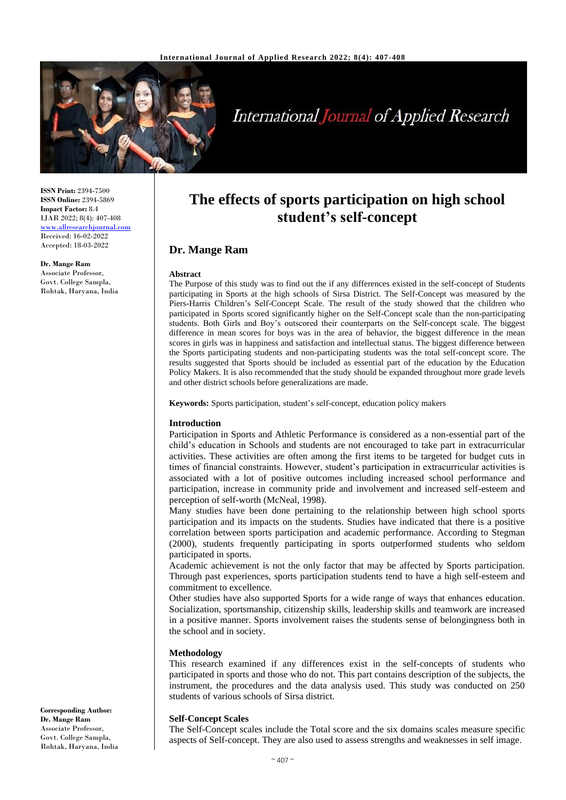

# **International Journal of Applied Research**

**ISSN Print:** 2394-7500 **ISSN Online:** 2394-5869 **Impact Factor:** 8.4 IJAR 2022; 8(4): 407-408 <www.allresearchjournal.com> Received: 16-02-2022 Accepted: 18-03-2022

**Dr. Mange Ram** Associate Professor, Govt. College Sampla, Rohtak, Haryana, India

## **The effects of sports participation on high school student's self-concept**

### **Dr. Mange Ram**

#### **Abstract**

The Purpose of this study was to find out the if any differences existed in the self-concept of Students participating in Sports at the high schools of Sirsa District. The Self-Concept was measured by the Piers-Harris Children's Self-Concept Scale. The result of the study showed that the children who participated in Sports scored significantly higher on the Self-Concept scale than the non-participating students. Both Girls and Boy's outscored their counterparts on the Self-concept scale. The biggest difference in mean scores for boys was in the area of behavior, the biggest difference in the mean scores in girls was in happiness and satisfaction and intellectual status. The biggest difference between the Sports participating students and non-participating students was the total self-concept score. The results suggested that Sports should be included as essential part of the education by the Education Policy Makers. It is also recommended that the study should be expanded throughout more grade levels and other district schools before generalizations are made.

**Keywords:** Sports participation, student's self-concept, education policy makers

#### **Introduction**

Participation in Sports and Athletic Performance is considered as a non-essential part of the child's education in Schools and students are not encouraged to take part in extracurricular activities. These activities are often among the first items to be targeted for budget cuts in times of financial constraints. However, student's participation in extracurricular activities is associated with a lot of positive outcomes including increased school performance and participation, increase in community pride and involvement and increased self-esteem and perception of self-worth (McNeal, 1998).

Many studies have been done pertaining to the relationship between high school sports participation and its impacts on the students. Studies have indicated that there is a positive correlation between sports participation and academic performance. According to Stegman (2000), students frequently participating in sports outperformed students who seldom participated in sports.

Academic achievement is not the only factor that may be affected by Sports participation. Through past experiences, sports participation students tend to have a high self-esteem and commitment to excellence.

Other studies have also supported Sports for a wide range of ways that enhances education. Socialization, sportsmanship, citizenship skills, leadership skills and teamwork are increased in a positive manner. Sports involvement raises the students sense of belongingness both in the school and in society.

#### **Methodology**

This research examined if any differences exist in the self-concepts of students who participated in sports and those who do not. This part contains description of the subjects, the instrument, the procedures and the data analysis used. This study was conducted on 250 students of various schools of Sirsa district.

#### **Self-Concept Scales**

The Self-Concept scales include the Total score and the six domains scales measure specific aspects of Self-concept. They are also used to assess strengths and weaknesses in self image.

**Corresponding Author: Dr. Mange Ram** Associate Professor, Govt. College Sampla, Rohtak, Haryana, India